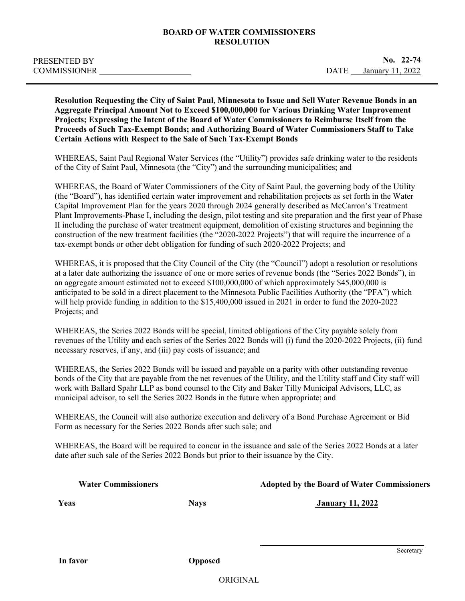## **BOARD OF WATER COMMISSIONERS RESOLUTION**

**Resolution Requesting the City of Saint Paul, Minnesota to Issue and Sell Water Revenue Bonds in an Aggregate Principal Amount Not to Exceed \$100,000,000 for Various Drinking Water Improvement Projects; Expressing the Intent of the Board of Water Commissioners to Reimburse Itself from the Proceeds of Such Tax-Exempt Bonds; and Authorizing Board of Water Commissioners Staff to Take Certain Actions with Respect to the Sale of Such Tax-Exempt Bonds**

WHEREAS, Saint Paul Regional Water Services (the "Utility") provides safe drinking water to the residents of the City of Saint Paul, Minnesota (the "City") and the surrounding municipalities; and

WHEREAS, the Board of Water Commissioners of the City of Saint Paul, the governing body of the Utility (the "Board"), has identified certain water improvement and rehabilitation projects as set forth in the Water Capital Improvement Plan for the years 2020 through 2024 generally described as McCarron's Treatment Plant Improvements-Phase I, including the design, pilot testing and site preparation and the first year of Phase II including the purchase of water treatment equipment, demolition of existing structures and beginning the construction of the new treatment facilities (the "2020-2022 Projects") that will require the incurrence of a tax-exempt bonds or other debt obligation for funding of such 2020-2022 Projects; and

WHEREAS, it is proposed that the City Council of the City (the "Council") adopt a resolution or resolutions at a later date authorizing the issuance of one or more series of revenue bonds (the "Series 2022 Bonds"), in an aggregate amount estimated not to exceed \$100,000,000 of which approximately \$45,000,000 is anticipated to be sold in a direct placement to the Minnesota Public Facilities Authority (the "PFA") which will help provide funding in addition to the \$15,400,000 issued in 2021 in order to fund the 2020-2022 Projects; and

WHEREAS, the Series 2022 Bonds will be special, limited obligations of the City payable solely from revenues of the Utility and each series of the Series 2022 Bonds will (i) fund the 2020-2022 Projects, (ii) fund necessary reserves, if any, and (iii) pay costs of issuance; and

WHEREAS, the Series 2022 Bonds will be issued and payable on a parity with other outstanding revenue bonds of the City that are payable from the net revenues of the Utility, and the Utility staff and City staff will work with Ballard Spahr LLP as bond counsel to the City and Baker Tilly Municipal Advisors, LLC, as municipal advisor, to sell the Series 2022 Bonds in the future when appropriate; and

WHEREAS, the Council will also authorize execution and delivery of a Bond Purchase Agreement or Bid Form as necessary for the Series 2022 Bonds after such sale; and

WHEREAS, the Board will be required to concur in the issuance and sale of the Series 2022 Bonds at a later date after such sale of the Series 2022 Bonds but prior to their issuance by the City.

| <b>Water Commissioners</b> |             | <b>Adopted by the Board of Water Commissioners</b> |
|----------------------------|-------------|----------------------------------------------------|
| Yeas                       | <b>Nays</b> | <b>January 11, 2022</b>                            |
|                            |             |                                                    |

ORIGINAL